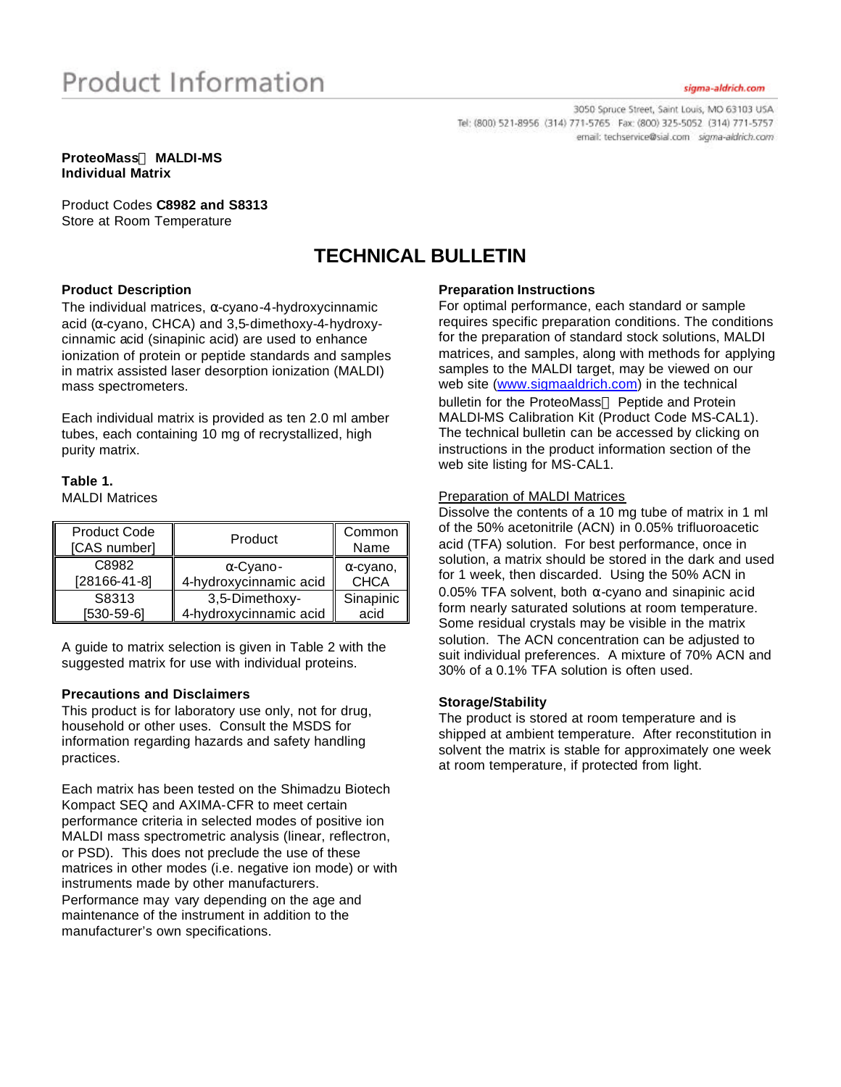3050 Spruce Street, Saint Louis, MO 63103 USA Tel: (800) 521-8956 (314) 771-5765 Fax: (800) 325-5052 (314) 771-5757 email: techservice@sial.com sigma-aldrich.com

#### **ProteoMassä MALDI-MS Individual Matrix**

Product Codes **C8982 and S8313**  Store at Room Temperature

# **TECHNICAL BULLETIN**

## **Product Description**

The individual matrices,  $\alpha$ -cyano-4-hydroxycinnamic acid (α-cyano, CHCA) and 3,5-dimethoxy-4-hydroxycinnamic acid (sinapinic acid) are used to enhance ionization of protein or peptide standards and samples in matrix assisted laser desorption ionization (MALDI) mass spectrometers.

Each individual matrix is provided as ten 2.0 ml amber tubes, each containing 10 mg of recrystallized, high purity matrix.

# **Table 1.**

MALDI Matrices

| <b>Product Code</b><br>[CAS number] | Product                | Common<br>Name   |
|-------------------------------------|------------------------|------------------|
| C8982                               | $\alpha$ -Cyano-       | $\alpha$ -cyano, |
| $[28166-41-8]$                      | 4-hydroxycinnamic acid | <b>CHCA</b>      |
| S8313                               | 3,5-Dimethoxy-         | Sinapinic        |
| $[530-59-6]$                        | 4-hydroxycinnamic acid | acid             |

A guide to matrix selection is given in Table 2 with the suggested matrix for use with individual proteins.

#### **Precautions and Disclaimers**

This product is for laboratory use only, not for drug, household or other uses. Consult the MSDS for information regarding hazards and safety handling practices.

Each matrix has been tested on the Shimadzu Biotech Kompact SEQ and AXIMA-CFR to meet certain performance criteria in selected modes of positive ion MALDI mass spectrometric analysis (linear, reflectron, or PSD). This does not preclude the use of these matrices in other modes (i.e. negative ion mode) or with instruments made by other manufacturers. Performance may vary depending on the age and maintenance of the instrument in addition to the manufacturer's own specifications.

## **Preparation Instructions**

For optimal performance, each standard or sample requires specific preparation conditions. The conditions for the preparation of standard stock solutions, MALDI matrices, and samples, along with methods for applying samples to the MALDI target, may be viewed on our web site (www.sigmaaldrich.com) in the technical bulletin for the ProteoMass<sup>™</sup> Peptide and Protein MALDI-MS Calibration Kit (Product Code MS-CAL1). The technical bulletin can be accessed by clicking on instructions in the product information section of the web site listing for MS-CAL1.

#### Preparation of MALDI Matrices

Dissolve the contents of a 10 mg tube of matrix in 1 ml of the 50% acetonitrile (ACN) in 0.05% trifluoroacetic acid (TFA) solution. For best performance, once in solution, a matrix should be stored in the dark and used for 1 week, then discarded. Using the 50% ACN in 0.05% TFA solvent, both  $\alpha$ -cyano and sinapinic acid form nearly saturated solutions at room temperature. Some residual crystals may be visible in the matrix solution. The ACN concentration can be adjusted to suit individual preferences. A mixture of 70% ACN and 30% of a 0.1% TFA solution is often used.

#### **Storage/Stability**

The product is stored at room temperature and is shipped at ambient temperature. After reconstitution in solvent the matrix is stable for approximately one week at room temperature, if protected from light.